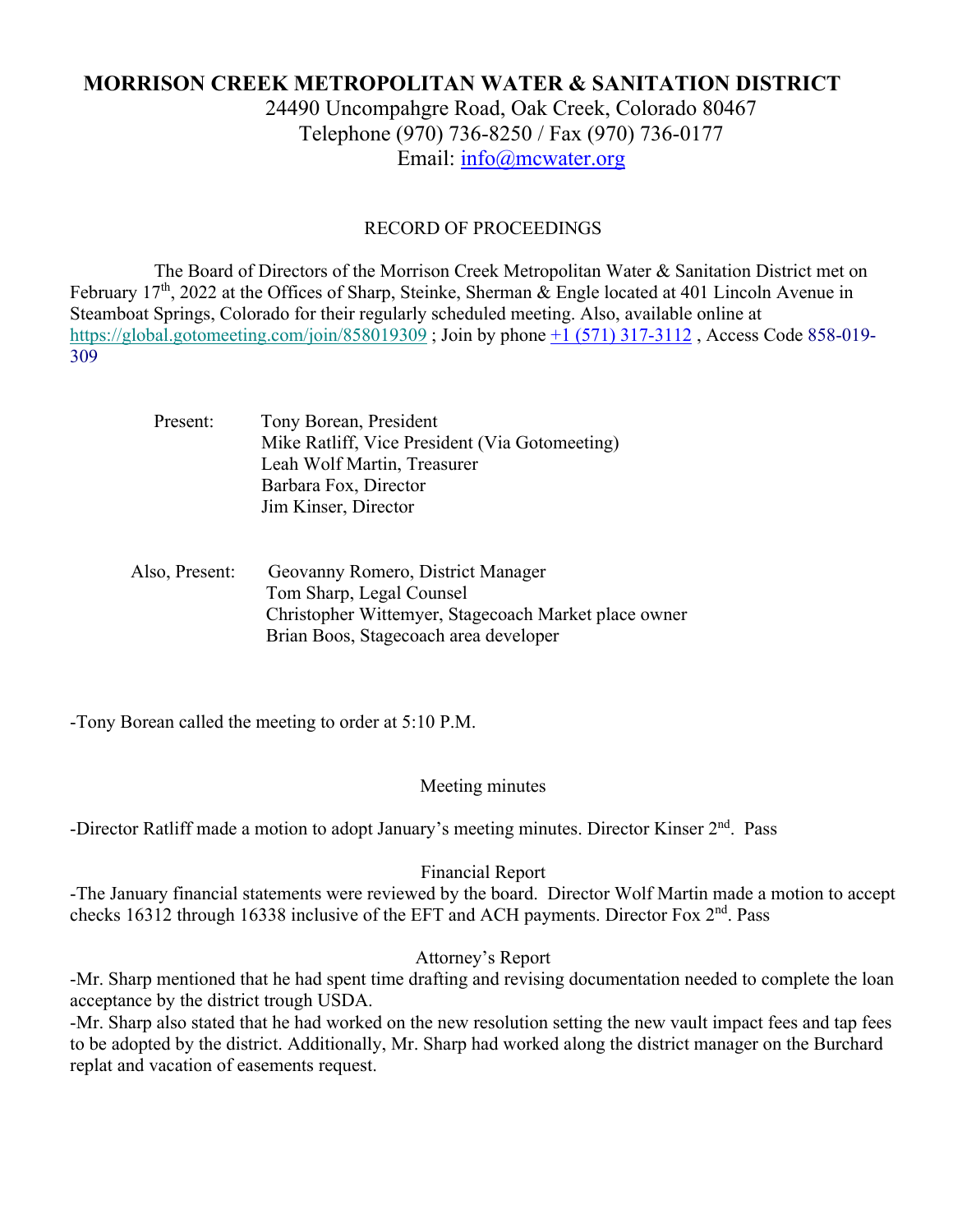# **MORRISON CREEK METROPOLITAN WATER & SANITATION DISTRICT**

24490 Uncompahgre Road, Oak Creek, Colorado 80467 Telephone (970) 736-8250 / Fax (970) 736-0177 Email: info@mcwater.org

#### RECORD OF PROCEEDINGS

 The Board of Directors of the Morrison Creek Metropolitan Water & Sanitation District met on February 17<sup>th</sup>, 2022 at the Offices of Sharp, Steinke, Sherman & Engle located at 401 Lincoln Avenue in Steamboat Springs, Colorado for their regularly scheduled meeting. Also, available online at https://global.gotomeeting.com/join/858019309 ; Join by phone +1 (571) 317-3112 , Access Code 858-019- 309

| Present: | Tony Borean, President                         |
|----------|------------------------------------------------|
|          | Mike Ratliff, Vice President (Via Gotomeeting) |
|          | Leah Wolf Martin, Treasurer                    |
|          | Barbara Fox, Director                          |
|          | Jim Kinser, Director                           |
|          |                                                |

 Also, Present: Geovanny Romero, District Manager Tom Sharp, Legal Counsel Christopher Wittemyer, Stagecoach Market place owner Brian Boos, Stagecoach area developer

-Tony Borean called the meeting to order at 5:10 P.M.

#### Meeting minutes

-Director Ratliff made a motion to adopt January's meeting minutes. Director Kinser 2<sup>nd</sup>. Pass

#### Financial Report

-The January financial statements were reviewed by the board. Director Wolf Martin made a motion to accept checks 16312 through 16338 inclusive of the EFT and ACH payments. Director Fox 2<sup>nd</sup>. Pass

#### Attorney's Report

-Mr. Sharp mentioned that he had spent time drafting and revising documentation needed to complete the loan acceptance by the district trough USDA.

-Mr. Sharp also stated that he had worked on the new resolution setting the new vault impact fees and tap fees to be adopted by the district. Additionally, Mr. Sharp had worked along the district manager on the Burchard replat and vacation of easements request.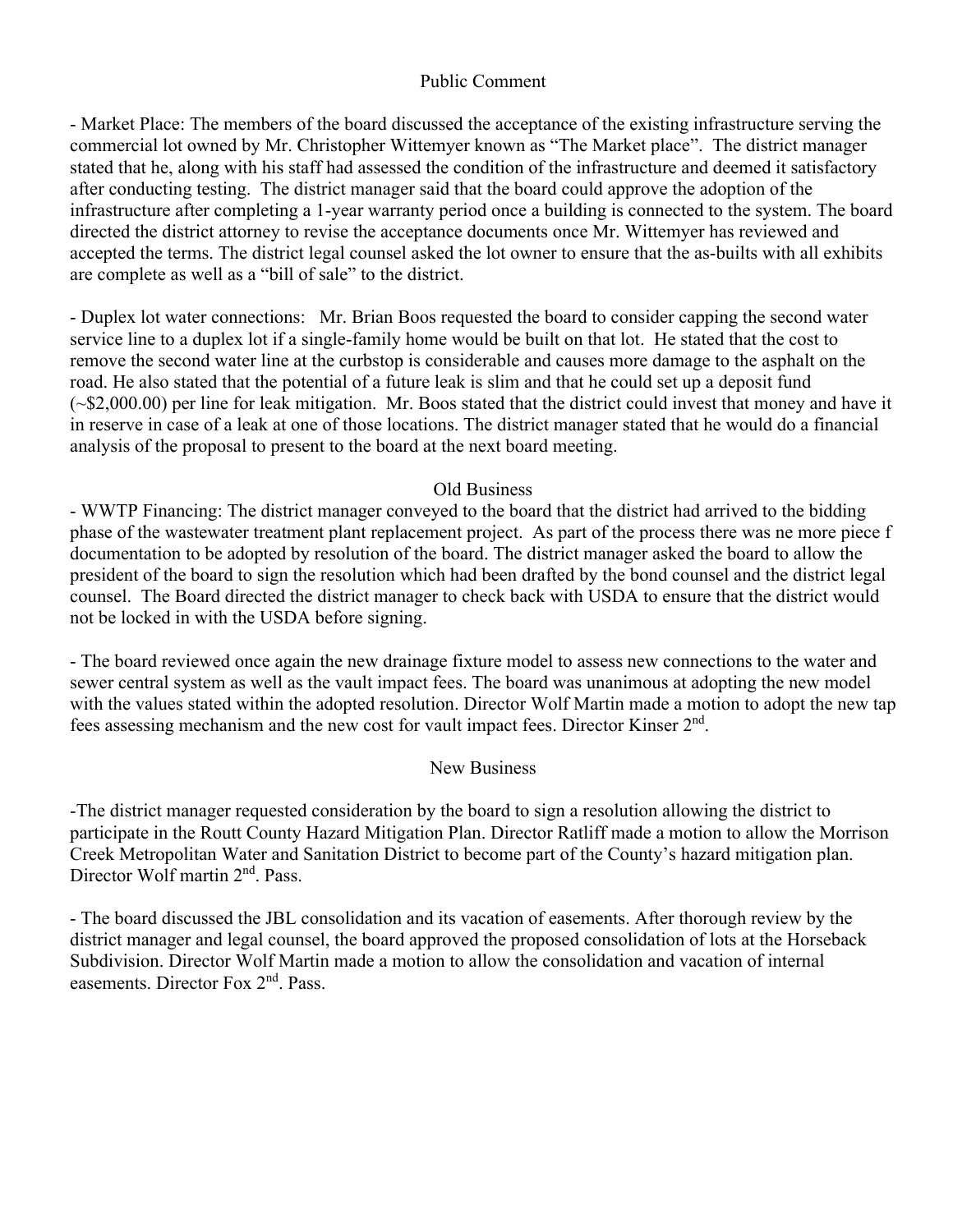## Public Comment

- Market Place: The members of the board discussed the acceptance of the existing infrastructure serving the commercial lot owned by Mr. Christopher Wittemyer known as "The Market place". The district manager stated that he, along with his staff had assessed the condition of the infrastructure and deemed it satisfactory after conducting testing. The district manager said that the board could approve the adoption of the infrastructure after completing a 1-year warranty period once a building is connected to the system. The board directed the district attorney to revise the acceptance documents once Mr. Wittemyer has reviewed and accepted the terms. The district legal counsel asked the lot owner to ensure that the as-builts with all exhibits are complete as well as a "bill of sale" to the district.

- Duplex lot water connections: Mr. Brian Boos requested the board to consider capping the second water service line to a duplex lot if a single-family home would be built on that lot. He stated that the cost to remove the second water line at the curbstop is considerable and causes more damage to the asphalt on the road. He also stated that the potential of a future leak is slim and that he could set up a deposit fund (~\$2,000.00) per line for leak mitigation. Mr. Boos stated that the district could invest that money and have it in reserve in case of a leak at one of those locations. The district manager stated that he would do a financial analysis of the proposal to present to the board at the next board meeting.

## Old Business

- WWTP Financing: The district manager conveyed to the board that the district had arrived to the bidding phase of the wastewater treatment plant replacement project. As part of the process there was ne more piece f documentation to be adopted by resolution of the board. The district manager asked the board to allow the president of the board to sign the resolution which had been drafted by the bond counsel and the district legal counsel. The Board directed the district manager to check back with USDA to ensure that the district would not be locked in with the USDA before signing.

- The board reviewed once again the new drainage fixture model to assess new connections to the water and sewer central system as well as the vault impact fees. The board was unanimous at adopting the new model with the values stated within the adopted resolution. Director Wolf Martin made a motion to adopt the new tap fees assessing mechanism and the new cost for vault impact fees. Director Kinser 2nd.

#### New Business

-The district manager requested consideration by the board to sign a resolution allowing the district to participate in the Routt County Hazard Mitigation Plan. Director Ratliff made a motion to allow the Morrison Creek Metropolitan Water and Sanitation District to become part of the County's hazard mitigation plan. Director Wolf martin 2<sup>nd</sup>. Pass.

- The board discussed the JBL consolidation and its vacation of easements. After thorough review by the district manager and legal counsel, the board approved the proposed consolidation of lots at the Horseback Subdivision. Director Wolf Martin made a motion to allow the consolidation and vacation of internal easements. Director Fox 2nd. Pass.